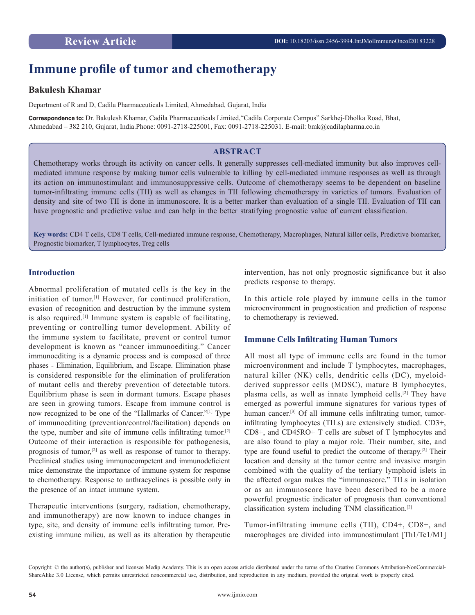# **Immune profile of tumor and chemotherapy**

# **Bakulesh Khamar**

Department of R and D, Cadila Pharmaceuticals Limited, Ahmedabad, Gujarat, India

**Correspondence to:** Dr. Bakulesh Khamar, Cadila Pharmaceuticals Limited,"Cadila Corporate Campus" Sarkhej-Dholka Road, Bhat, Ahmedabad – 382 210, Gujarat, India.Phone: 0091-2718-225001, Fax: 0091-2718-225031. E-mail: bmk@cadilapharma.co.in

# **ABSTRACT**

Chemotherapy works through its activity on cancer cells. It generally suppresses cell-mediated immunity but also improves cellmediated immune response by making tumor cells vulnerable to killing by cell-mediated immune responses as well as through its action on immunostimulant and immunosuppressive cells. Outcome of chemotherapy seems to be dependent on baseline tumor-infiltrating immune cells (TII) as well as changes in TII following chemotherapy in varieties of tumors. Evaluation of density and site of two TII is done in immunoscore. It is a better marker than evaluation of a single TII. Evaluation of TII can have prognostic and predictive value and can help in the better stratifying prognostic value of current classification.

**Key words:** CD4 T cells, CD8 T cells, Cell-mediated immune response, Chemotherapy, Macrophages, Natural killer cells, Predictive biomarker, Prognostic biomarker, T lymphocytes, Treg cells

### **Introduction**

Abnormal proliferation of mutated cells is the key in the initiation of tumor.[1] However, for continued proliferation, evasion of recognition and destruction by the immune system is also required.[1] Immune system is capable of facilitating, preventing or controlling tumor development. Ability of the immune system to facilitate, prevent or control tumor development is known as "cancer immunoediting." Cancer immunoediting is a dynamic process and is composed of three phases - Elimination, Equilibrium, and Escape. Elimination phase is considered responsible for the elimination of proliferation of mutant cells and thereby prevention of detectable tutors. Equilibrium phase is seen in dormant tumors. Escape phases are seen in growing tumors. Escape from immune control is now recognized to be one of the "Hallmarks of Cancer."[1] Type of immunoediting (prevention/control/facilitation) depends on the type, number and site of immune cells infiltrating tumor.[2] Outcome of their interaction is responsible for pathogenesis, prognosis of tumor,[2] as well as response of tumor to therapy. Preclinical studies using immunocompetent and immunodeficient mice demonstrate the importance of immune system for response to chemotherapy. Response to anthracyclines is possible only in the presence of an intact immune system.

Therapeutic interventions (surgery, radiation, chemotherapy, and immunotherapy) are now known to induce changes in type, site, and density of immune cells infiltrating tumor. Preexisting immune milieu, as well as its alteration by therapeutic

intervention, has not only prognostic significance but it also predicts response to therapy.

In this article role played by immune cells in the tumor microenvironment in prognostication and prediction of response to chemotherapy is reviewed.

### **Immune Cells Infiltrating Human Tumors**

All most all type of immune cells are found in the tumor microenvironment and include T lymphocytes, macrophages, natural killer (NK) cells, dendritic cells (DC), myeloidderived suppressor cells (MDSC), mature B lymphocytes, plasma cells, as well as innate lymphoid cells.[2] They have emerged as powerful immune signatures for various types of human cancer.<sup>[3]</sup> Of all immune cells infiltrating tumor, tumorinfiltrating lymphocytes (TILs) are extensively studied. CD3+, CD8+, and CD45RO+ T cells are subset of T lymphocytes and are also found to play a major role. Their number, site, and type are found useful to predict the outcome of therapy.[2] Their location and density at the tumor centre and invasive margin combined with the quality of the tertiary lymphoid islets in the affected organ makes the "immunoscore." TILs in isolation or as an immunoscore have been described to be a more powerful prognostic indicator of prognosis than conventional classification system including TNM classification.[2]

Tumor-infiltrating immune cells (TII), CD4+, CD8+, and macrophages are divided into immunostimulant [Th1/Tc1/M1]

Copyright: © the author(s), publisher and licensee Medip Academy. This is an open access article distributed under the terms of the Creative Commons Attribution-NonCommercial-ShareAlike 3.0 License, which permits unrestricted noncommercial use, distribution, and reproduction in any medium, provided the original work is properly cited.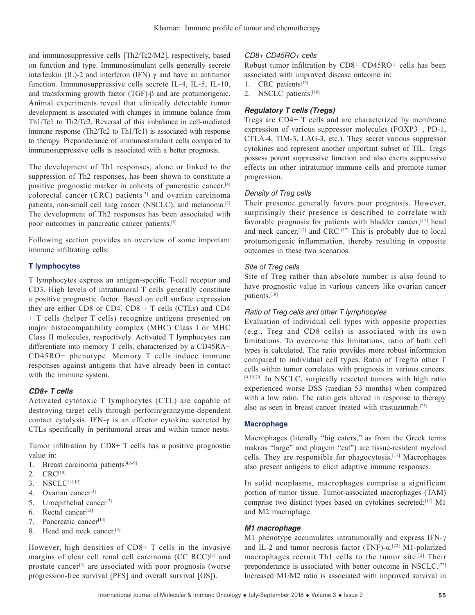and immunosuppressive cells [Th2/Tc2/M2], respectively, based on function and type. Immunostimulant cells generally secrete interleukin (IL)-2 and interferon (IFN)  $\gamma$  and have an antitumor function. Immunosuppressive cells secrete IL-4, IL-5, IL-10, and transforming growth factor (TGF)-β and are protumorigenic. Animal experiments reveal that clinically detectable tumor development is associated with changes in immune balance from Th1/Tc1 to Th2/Tc2. Reversal of this imbalance in cell-mediated immune response (Th2/Tc2 to Th1/Tc1) is associated with response to therapy. Preponderance of immunostimulant cells compared to immunosuppressive cells is associated with a better prognosis.

The development of Th1 responses, alone or linked to the suppression of Th2 responses, has been shown to constitute a positive prognostic marker in cohorts of pancreatic cancer,[4] colorectal cancer (CRC) patients $[3]$  and ovarian carcinoma patients, non-small cell lung cancer (NSCLC), and melanoma.<sup>[3]</sup> The development of Th2 responses has been associated with poor outcomes in pancreatic cancer patients.[5]

Following section provides an overview of some important immune infiltrating cells:

# **T lymphocytes**

T lymphocytes express an antigen-specific T-cell receptor and CD3. High levels of intratumoral T cells generally constitute a positive prognostic factor. Based on cell surface expression they are either CD8 or CD4.  $CD8 + T$  cells (CTLs) and CD4 + T cells (helper T cells) recognize antigens presented on major histocompatibility complex (MHC) Class I or MHC Class II molecules, respectively. Activated T lymphocytes can differentiate into memory T cells, characterized by a CD45RA− CD45RO+ phenotype. Memory T cells induce immune responses against antigens that have already been in contact with the immune system.

# *CD8+ T cells*

Activated cytotoxic T lymphocytes (CTL) are capable of destroying target cells through perforin/granzyme-dependent contact cytolysis. IFN-γ is an effector cytokine secreted by CTLs specifically in peritumoral areas and within tumor nests.

Tumor infiltration by CD8+ T cells has a positive prognostic value in:

- 1. Breast carcinoma patients[4,6-9]
- 2. CRC<sup>[10]</sup>
- 3. NSCLC[11,12]
- 4. Ovarian cancer<sup>[3]</sup>
- 5. Uroepithelial cancer<sup>[3]</sup>
- $6.$  Rectal cancer<sup>[13]</sup>
- 7. Pancreatic cancer<sup>[14]</sup>
- 8. Head and neck cancer.[3]

However, high densities of CD8+ T cells in the invasive margins of clear cell renal cell carcinoma (CC RCC)<sup>[3]</sup> and prostate cancer<sup>[3]</sup> are associated with poor prognosis (worse progression-free survival [PFS] and overall survival [OS]).

### *CD8+ CD45RO+ cells*

Robust tumor infiltration by CD8+ CD45RO+ cells has been associated with improved disease outcome in:

- 1. CRC patients<sup>[15]</sup>
- 2. NSCLC patients.<sup>[16]</sup>

# *Regulatory T cells (Tregs)*

Tregs are CD4+ T cells and are characterized by membrane expression of various suppressor molecules (FOXP3+, PD-1, CTLA-4, TIM-3, LAG-3, etc.). They secret various suppressor cytokines and represent another important subset of TIL. Tregs possess potent suppressive function and also exerts suppressive effects on other intratumor immune cells and promote tumor progression.

### *Density of Treg cells*

Their presence generally favors poor prognosis. However, surprisingly their presence is described to correlate with favorable prognosis for patients with bladder cancer,[17] head and neck cancer,<sup>[17]</sup> and CRC.<sup>[17]</sup> This is probably due to local protumorigenic inflammation, thereby resulting in opposite outcomes in these two scenarios.

### *Site of Treg cells*

Site of Treg rather than absolute number is also found to have prognostic value in various cancers like ovarian cancer patients.[18]

# *Ratio of Treg cells and other T lymphocytes*

Evaluation of individual cell types with opposite properties (e.g., Treg and CD8 cells) is associated with its own limitations. To overcome this limitations, ratio of both cell types is calculated. The ratio provides more robust information compared to individual cell types. Ratio of Treg/to other T cells within tumor correlates with prognosis in various cancers. [4,19,20] In NSCLC, surgically resected tumors with high ratio experienced worse DSS (median 53 months) when compared with a low ratio. The ratio gets altered in response to therapy also as seen in breast cancer treated with trastuzumab.[21]

#### **Macrophage**

Macrophages (literally "big eaters," as from the Greek terms makros "large" and phagein "eat") are tissue-resident myeloid cells. They are responsible for phagocytosis.[17] Macrophages also present antigens to elicit adaptive immune responses.

In solid neoplasms, macrophages comprise a significant portion of tumor tissue. Tumor-associated macrophages (TAM) comprise two distinct types based on cytokines secreted;<sup>[17]</sup> M1 and M2 macrophage.

#### *M1 macrophage*

M1 phenotype accumulates intratumorally and express IFN-γ and IL-2 and tumor necrosis factor (TNF)- $\alpha$ .<sup>[22]</sup> M1-polarized macrophages recruit Th1 cells to the tumor site.[2] Their preponderance is associated with better outcome in NSCLC.[22] Increased M1/M2 ratio is associated with improved survival in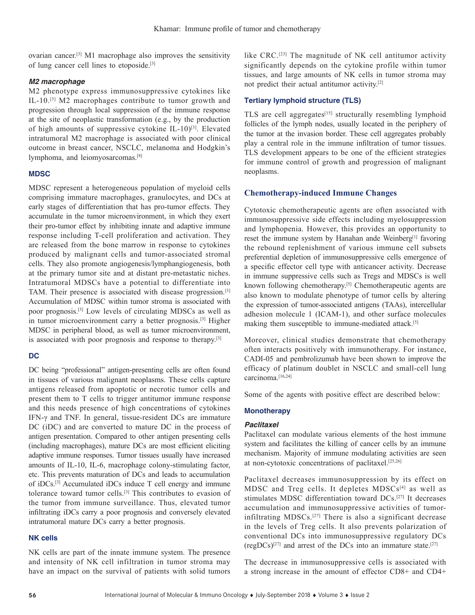ovarian cancer.[3] M1 macrophage also improves the sensitivity of lung cancer cell lines to etoposide.[3]

### *M2 macrophage*

M2 phenotype express immunosuppressive cytokines like IL-10.[3] M2 macrophages contribute to tumor growth and progression through local suppression of the immune response at the site of neoplastic transformation (e.g., by the production of high amounts of suppressive cytokine IL-10)<sup>[3]</sup>. Elevated intratumoral M2 macrophage is associated with poor clinical outcome in breast cancer, NSCLC, melanoma and Hodgkin's lymphoma, and leiomyosarcomas.[8]

### **MDSC**

MDSC represent a heterogeneous population of myeloid cells comprising immature macrophages, granulocytes, and DCs at early stages of differentiation that has pro-tumor effects. They accumulate in the tumor microenvironment, in which they exert their pro-tumor effect by inhibiting innate and adaptive immune response including T-cell proliferation and activation. They are released from the bone marrow in response to cytokines produced by malignant cells and tumor-associated stromal cells. They also promote angiogenesis/lymphangiogenesis, both at the primary tumor site and at distant pre-metastatic niches. Intratumoral MDSCs have a potential to differentiate into TAM. Their presence is associated with disease progression.[3] Accumulation of MDSC within tumor stroma is associated with poor prognosis.[3] Low levels of circulating MDSCs as well as in tumor microenvironment carry a better prognosis.[3] Higher MDSC in peripheral blood, as well as tumor microenvironment, is associated with poor prognosis and response to therapy.<sup>[3]</sup>

# **DC**

DC being "professional" antigen-presenting cells are often found in tissues of various malignant neoplasms. These cells capture antigens released from apoptotic or necrotic tumor cells and present them to T cells to trigger antitumor immune response and this needs presence of high concentrations of cytokines IFN-γ and TNF. In general, tissue-resident DCs are immature DC (iDC) and are converted to mature DC in the process of antigen presentation. Compared to other antigen presenting cells (including macrophages), mature DCs are most efficient eliciting adaptive immune responses. Tumor tissues usually have increased amounts of IL-10, IL-6, macrophage colony-stimulating factor, etc. This prevents maturation of DCs and leads to accumulation of iDCs.[3] Accumulated iDCs induce T cell energy and immune tolerance toward tumor cells.[3] This contributes to evasion of the tumor from immune surveillance. Thus, elevated tumor infiltrating iDCs carry a poor prognosis and conversely elevated intratumoral mature DCs carry a better prognosis.

### **NK cells**

NK cells are part of the innate immune system. The presence and intensity of NK cell infiltration in tumor stroma may have an impact on the survival of patients with solid tumors like CRC.[23] The magnitude of NK cell antitumor activity significantly depends on the cytokine profile within tumor tissues, and large amounts of NK cells in tumor stroma may not predict their actual antitumor activity.[2]

# **Tertiary lymphoid structure (TLS)**

TLS are cell aggregates $[15]$  structurally resembling lymphoid follicles of the lymph nodes, usually located in the periphery of the tumor at the invasion border. These cell aggregates probably play a central role in the immune infiltration of tumor tissues. TLS development appears to be one of the efficient strategies for immune control of growth and progression of malignant neoplasms.

# **Chemotherapy-induced Immune Changes**

Cytotoxic chemotherapeutic agents are often associated with immunosuppressive side effects including myelosuppression and lymphopenia. However, this provides an opportunity to reset the immune system by Hanahan ande Weinberg<sup>[1]</sup> favoring the rebound replenishment of various immune cell subsets preferential depletion of immunosuppressive cells emergence of a specific effector cell type with anticancer activity. Decrease in immune suppressive cells such as Tregs and MDSCs is well known following chemotherapy.[5] Chemotherapeutic agents are also known to modulate phenotype of tumor cells by altering the expression of tumor-associated antigens (TAAs), intercellular adhesion molecule 1 (ICAM-1), and other surface molecules making them susceptible to immune-mediated attack.[5]

Moreover, clinical studies demonstrate that chemotherapy often interacts positively with immunotherapy. For instance, CADI-05 and pembrolizumab have been shown to improve the efficacy of platinum doublet in NSCLC and small-cell lung carcinoma<sup>[16,24]</sup>

Some of the agents with positive effect are described below:

#### **Monotherapy**

#### *Paclitaxel*

Paclitaxel can modulate various elements of the host immune system and facilitates the killing of cancer cells by an immune mechanism. Majority of immune modulating activities are seen at non-cytotoxic concentrations of paclitaxel.[25,26]

Paclitaxel decreases immunosuppression by its effect on MDSC and Treg cells. It depletes MDSCs<sup>[4]</sup> as well as stimulates MDSC differentiation toward DCs.[27] It decreases accumulation and immunosuppressive activities of tumorinfiltrating MDSCs.[27] There is also a significant decrease in the levels of Treg cells. It also prevents polarization of conventional DCs into immunosuppressive regulatory DCs  $(regDCs)^{[27]}$  and arrest of the DCs into an immature state.<sup>[27]</sup>

The decrease in immunosuppressive cells is associated with a strong increase in the amount of effector CD8+ and CD4+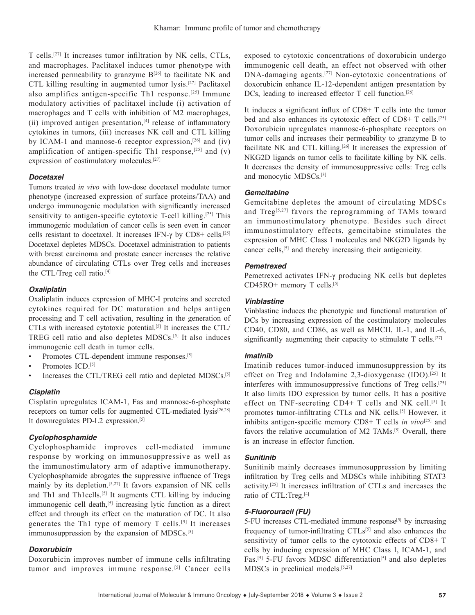T cells.[27] It increases tumor infiltration by NK cells, CTLs, and macrophages. Paclitaxel induces tumor phenotype with increased permeability to granzyme  $B^{[26]}$  to facilitate NK and CTL killing resulting in augmented tumor lysis.[27] Paclitaxel also amplifies antigen-specific Th1 response.[25] Immune modulatory activities of paclitaxel include (i) activation of macrophages and T cells with inhibition of M2 macrophages, (ii) improved antigen presentation,<sup>[4]</sup> release of inflammatory cytokines in tumors, (iii) increases NK cell and CTL killing by ICAM-1 and mannose-6 receptor expression, $[26]$  and (iv) amplification of antigen-specific Th1 response,<sup>[25]</sup> and (v) expression of costimulatory molecules.[27]

# *Docetaxel*

Tumors treated *in vivo* with low-dose docetaxel modulate tumor phenotype (increased expression of surface proteins/TAA) and undergo immunogenic modulation with significantly increased sensitivity to antigen-specific cytotoxic T-cell killing.<sup>[25]</sup> This immunogenic modulation of cancer cells is seen even in cancer cells resistant to docetaxel. It increases IFN-γ by CD8+ cells.[25] Docetaxel depletes MDSCs. Docetaxel administration to patients with breast carcinoma and prostate cancer increases the relative abundance of circulating CTLs over Treg cells and increases the CTL/Treg cell ratio.[4]

### *Oxaliplatin*

Oxaliplatin induces expression of MHC-I proteins and secreted cytokines required for DC maturation and helps antigen processing and T cell activation, resulting in the generation of CTLs with increased cytotoxic potential.[5] It increases the CTL/ TREG cell ratio and also depletes MDSCs.[5] It also induces immunogenic cell death in tumor cells.

Promotes CTL-dependent immune responses.<sup>[5]</sup>

- Promotes ICD.<sup>[5]</sup>
- Increases the CTL/TREG cell ratio and depleted MDSCs.<sup>[5]</sup>

# *Cisplatin*

Cisplatin upregulates ICAM-1, Fas and mannose-6-phosphate receptors on tumor cells for augmented CTL-mediated lysis<sup>[26,28]</sup> It downregulates PD-L2 expression.<sup>[5]</sup>

# *Cyclophosphamide*

Cyclophosphamide improves cell-mediated immune response by working on immunosuppressive as well as the immunostimulatory arm of adaptive immunotherapy. Cyclophosphamide abrogates the suppressive influence of Tregs mainly by its depletion.[5,27] It favors expansion of NK cells and Th1 and Th1cells.<sup>[5]</sup> It augments CTL killing by inducing immunogenic cell death,<sup>[5]</sup> increasing lytic function as a direct effect and through its effect on the maturation of DC. It also generates the Th1 type of memory T cells.[5] It increases immunosuppression by the expansion of MDSCs.<sup>[5]</sup>

#### *Doxorubicin*

Doxorubicin improves number of immune cells infiltrating tumor and improves immune response.<sup>[5]</sup> Cancer cells

exposed to cytotoxic concentrations of doxorubicin undergo immunogenic cell death, an effect not observed with other DNA-damaging agents.[27] Non-cytotoxic concentrations of doxorubicin enhance IL-12-dependent antigen presentation by DCs, leading to increased effector T cell function.<sup>[26]</sup>

It induces a significant influx of CD8+ T cells into the tumor bed and also enhances its cytotoxic effect of CD8+ T cells.<sup>[25]</sup> Doxorubicin upregulates mannose-6-phosphate receptors on tumor cells and increases their permeability to granzyme B to facilitate NK and CTL killing.<sup>[26]</sup> It increases the expression of NKG2D ligands on tumor cells to facilitate killing by NK cells. It decreases the density of immunosuppressive cells: Treg cells and monocytic MDSCs.[3]

### *Gemcitabine*

Gemcitabine depletes the amount of circulating MDSCs and  $Treg^{[5,27]}$  favors the reprogramming of TAMs toward an immunostimulatory phenotype. Besides such direct immunostimulatory effects, gemcitabine stimulates the expression of MHC Class I molecules and NKG2D ligands by cancer cells,[5] and thereby increasing their antigenicity.

### *Pemetrexed*

Pemetrexed activates IFN-γ producing NK cells but depletes CD45RO+ memory T cells.[5]

### *Vinblastine*

Vinblastine induces the phenotypic and functional maturation of DCs by increasing expression of the costimulatory molecules CD40, CD80, and CD86, as well as MHCII, IL-1, and IL-6, significantly augmenting their capacity to stimulate T cells.<sup>[27]</sup>

#### *Imatinib*

Imatinib reduces tumor-induced immunosuppression by its effect on Treg and Indolamine 2,3-dioxygenase (IDO).<sup>[25]</sup> It interferes with immunosuppressive functions of Treg cells.[25] It also limits IDO expression by tumor cells. It has a positive effect on TNF-secreting CD4+ T cells and NK cell.[5] It promotes tumor-infiltrating CTLs and NK cells.[5] However, it inhibits antigen-specific memory CD8+ T cells *in vivo*<sup>[25]</sup> and favors the relative accumulation of M2 TAMs.[5] Overall, there is an increase in effector function.

# *Sunitinib*

Sunitinib mainly decreases immunosuppression by limiting infiltration by Treg cells and MDSCs while inhibiting STAT3 activity.[25] It increases infiltration of CTLs and increases the ratio of CTL:Treg.[4]

### *5-Fluorouracil (FU)*

5-FU increases CTL-mediated immune response<sup>[5]</sup> by increasing frequency of tumor-infiltrating  $CTLs^{[5]}$  and also enhances the sensitivity of tumor cells to the cytotoxic effects of CD8+ T cells by inducing expression of MHC Class I, ICAM-1, and Fas.<sup>[5]</sup> 5-FU favors MDSC differentiation<sup>[5]</sup> and also depletes MDSCs in preclinical models.[5,27]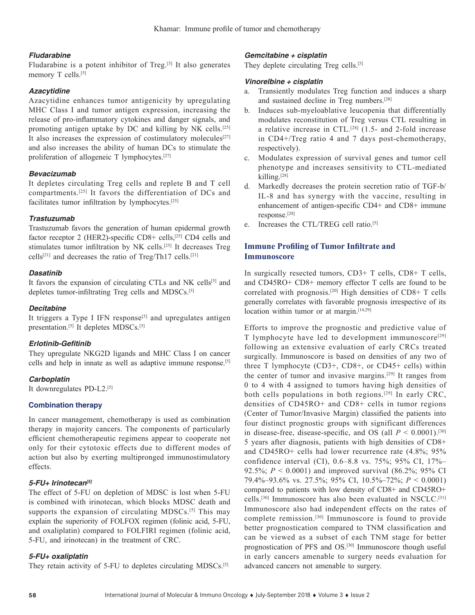# *Fludarabine*

Fludarabine is a potent inhibitor of Treg.<sup>[5]</sup> It also generates memory T cells.<sup>[5]</sup>

# *Azacytidine*

Azacytidine enhances tumor antigenicity by upregulating MHC Class I and tumor antigen expression, increasing the release of pro-inflammatory cytokines and danger signals, and promoting antigen uptake by DC and killing by NK cells.[25] It also increases the expression of costimulatory molecules<sup>[27]</sup> and also increases the ability of human DCs to stimulate the proliferation of allogeneic T lymphocytes.[27]

# *Bevacizumab*

It depletes circulating Treg cells and replete B and T cell compartments.[25] It favors the differentiation of DCs and facilitates tumor infiltration by lymphocytes.[25]

# *Trastuzumab*

Trastuzumab favors the generation of human epidermal growth factor receptor 2 (HER2)-specific  $CD8+$  cells,<sup>[25]</sup> CD4 cells and stimulates tumor infiltration by NK cells.[25] It decreases Treg cells[21] and decreases the ratio of Treg/Th17 cells.[21]

# *Dasatinib*

It favors the expansion of circulating CTLs and NK cells<sup>[5]</sup> and depletes tumor-infiltrating Treg cells and MDSCs.[5]

# *Decitabine*

It triggers a Type I IFN response<sup>[5]</sup> and upregulates antigen presentation.<sup>[5]</sup> It depletes MDSCs.<sup>[5]</sup>

# **Erlotinib-Gefitinib**

They upregulate NKG2D ligands and MHC Class I on cancer cells and help in innate as well as adaptive immune response.[5]

# *Carboplatin*

It downregulates PD-L2.[5]

# **Combination therapy**

In cancer management, chemotherapy is used as combination therapy in majority cancers. The components of particularly efficient chemotherapeutic regimens appear to cooperate not only for their cytotoxic effects due to different modes of action but also by exerting multipronged immunostimulatory effects.

# *5-FU+ Irinotecan[5]*

The effect of 5-FU on depletion of MDSC is lost when 5-FU is combined with irinotecan, which blocks MDSC death and supports the expansion of circulating MDSCs.<sup>[5]</sup> This may explain the superiority of FOLFOX regimen (folinic acid, 5-FU, and oxaliplatin) compared to FOLFIRI regimen (folinic acid, 5-FU, and irinotecan) in the treatment of CRC.

# *5-FU+ oxaliplatin*

They retain activity of 5-FU to depletes circulating MDSCs.<sup>[5]</sup>

# *Gemcitabine + cisplatin*

They deplete circulating Treg cells.<sup>[5]</sup>

# *Vinorelbine + cisplatin*

- a. Transiently modulates Treg function and induces a sharp and sustained decline in Treg numbers.[28]
- b. Induces sub-myeloablative leucopenia that differentially modulates reconstitution of Treg versus CTL resulting in a relative increase in CTL.[28] (1.5- and 2-fold increase in CD4+/Treg ratio 4 and 7 days post-chemotherapy, respectively).
- c. Modulates expression of survival genes and tumor cell phenotype and increases sensitivity to CTL-mediated killing. $[28]$
- d. Markedly decreases the protein secretion ratio of TGF-b/ IL-8 and has synergy with the vaccine, resulting in enhancement of antigen-specific CD4+ and CD8+ immune response.[28]
- e. Increases the CTL/TREG cell ratio.<sup>[5]</sup>

# **Immune Profiling of Tumor Infiltrate and Immunoscore**

In surgically resected tumors, CD3+ T cells, CD8+ T cells, and CD45RO+ CD8+ memory effector T cells are found to be correlated with prognosis.<sup>[20]</sup> High densities of  $CD8+T$  cells generally correlates with favorable prognosis irrespective of its location within tumor or at margin.<sup>[14,29]</sup>

Efforts to improve the prognostic and predictive value of T lymphocyte have led to development immunoscore[29] following an extensive evaluation of early CRCs treated surgically. Immunoscore is based on densities of any two of three T lymphocyte (CD3+, CD8+, or CD45+ cells) within the center of tumor and invasive margins.[29] It ranges from 0 to 4 with 4 assigned to tumors having high densities of both cells populations in both regions.[29] In early CRC, densities of CD45RO+ and CD8+ cells in tumor regions (Center of Tumor/Invasive Margin) classified the patients into four distinct prognostic groups with significant differences in disease-free, disease-specific, and OS (all  $P < 0.0001$ ).<sup>[30]</sup> 5 years after diagnosis, patients with high densities of CD8+ and CD45RO+ cells had lower recurrence rate (4.8%; 95% confidence interval (CI), 0.6–8.8 vs. 75%; 95% CI, 17%– 92.5%; *P* < 0.0001) and improved survival (86.2%; 95% CI 79.4%–93.6% vs. 27.5%; 95% CI, 10.5%–72%; *P* < 0.0001) compared to patients with low density of CD8+ and CD45RO+ cells.[30] Immunoscore has also been evaluated in NSCLC.[31] Immunoscore also had independent effects on the rates of complete remission.[30] Immunoscore is found to provide better prognostication compared to TNM classification and can be viewed as a subset of each TNM stage for better prognostication of PFS and OS.[30] Immunoscore though useful in early cancers amenable to surgery needs evaluation for advanced cancers not amenable to surgery.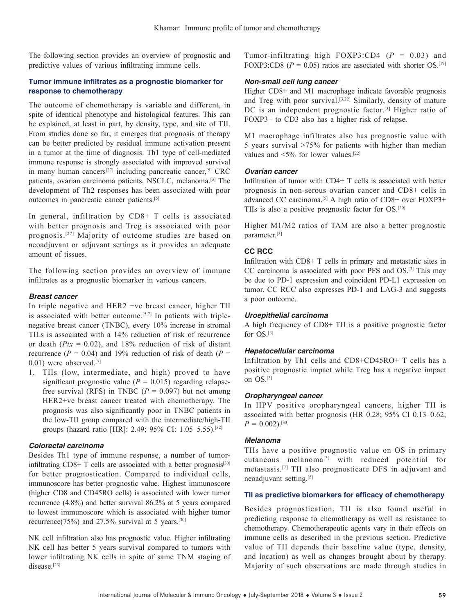The following section provides an overview of prognostic and predictive values of various infiltrating immune cells.

# **Tumor immune infiltrates as a prognostic biomarker for response to chemotherapy**

The outcome of chemotherapy is variable and different, in spite of identical phenotype and histological features. This can be explained, at least in part, by density, type, and site of TII. From studies done so far, it emerges that prognosis of therapy can be better predicted by residual immune activation present in a tumor at the time of diagnosis. Th1 type of cell-mediated immune response is strongly associated with improved survival in many human cancers<sup>[27]</sup> including pancreatic cancer,<sup>[5]</sup> CRC patients, ovarian carcinoma patients, NSCLC, melanoma.[3] The development of Th2 responses has been associated with poor outcomes in pancreatic cancer patients.[5]

In general, infiltration by CD8+ T cells is associated with better prognosis and Treg is associated with poor prognosis.[27] Majority of outcome studies are based on neoadjuvant or adjuvant settings as it provides an adequate amount of tissues.

The following section provides an overview of immune infiltrates as a prognostic biomarker in various cancers.

# *Breast cancer*

In triple negative and HER2 +ve breast cancer, higher TII is associated with better outcome.<sup>[5,7]</sup> In patients with triplenegative breast cancer (TNBC), every 10% increase in stromal TILs is associated with a 14% reduction of risk of recurrence or death  $(Ptx = 0.02)$ , and 18% reduction of risk of distant recurrence ( $P = 0.04$ ) and 19% reduction of risk of death ( $P =$ 0.01) were observed.[7]

1. TIIs (low, intermediate, and high) proved to have significant prognostic value ( $P = 0.015$ ) regarding relapsefree survival (RFS) in TNBC ( $P = 0.097$ ) but not among HER2+ve breast cancer treated with chemotherapy. The prognosis was also significantly poor in TNBC patients in the low-TII group compared with the intermediate/high-TII groups (hazard ratio [HR]: 2.49; 95% CI: 1.05–5.55).[32]

# *Colorectal carcinoma*

Besides Th1 type of immune response, a number of tumorinfiltrating  $CD8+T$  cells are associated with a better prognosis<sup>[30]</sup> for better prognostication. Compared to individual cells, immunoscore has better prognostic value. Highest immunoscore (higher CD8 and CD45RO cells) is associated with lower tumor recurrence (4.8%) and better survival 86.2% at 5 years compared to lowest immunoscore which is associated with higher tumor recurrence(75%) and 27.5% survival at 5 years.<sup>[30]</sup>

NK cell infiltration also has prognostic value. Higher infiltrating NK cell has better 5 years survival compared to tumors with lower infiltrating NK cells in spite of same TNM staging of disease.<sup>[23]</sup>

Tumor-infiltrating high FOXP3:CD4 (*P* = 0.03) and FOXP3:CD8 ( $P = 0.05$ ) ratios are associated with shorter OS.<sup>[19]</sup>

# *Non-small cell lung cancer*

Higher CD8+ and M1 macrophage indicate favorable prognosis and Treg with poor survival.<sup>[3,22]</sup> Similarly, density of mature DC is an independent prognostic factor.<sup>[3]</sup> Higher ratio of FOXP3+ to CD3 also has a higher risk of relapse.

M1 macrophage infiltrates also has prognostic value with 5 years survival >75% for patients with higher than median values and  $\leq 5\%$  for lower values.<sup>[22]</sup>

### *Ovarian cancer*

Infiltration of tumor with CD4+ T cells is associated with better prognosis in non-serous ovarian cancer and CD8+ cells in advanced CC carcinoma.<sup>[5]</sup> A high ratio of CD8+ over FOXP3+ TIIs is also a positive prognostic factor for OS.[20]

Higher M1/M2 ratios of TAM are also a better prognostic parameter.[3]

# **CC RCC**

Infiltration with CD8+ T cells in primary and metastatic sites in CC carcinoma is associated with poor PFS and OS.[3] This may be due to PD-1 expression and coincident PD-L1 expression on tumor. CC RCC also expresses PD-1 and LAG-3 and suggests a poor outcome.

# *Uroepithelial carcinoma*

A high frequency of CD8+ TII is a positive prognostic factor for OS.[3]

#### *Hepatocellular carcinoma*

Infiltration by Th1 cells and CD8+CD45RO+ T cells has a positive prognostic impact while Treg has a negative impact on OS.[3]

# *Oropharyngeal cancer*

In HPV positive oropharyngeal cancers, higher TII is associated with better prognosis (HR 0.28; 95% CI 0.13–0.62;  $P = 0.002$ .<sup>[33]</sup>

# *Melanoma*

TIIs have a positive prognostic value on OS in primary cutaneous melanoma<sup>[3]</sup> with reduced potential for metastasis.[7] TII also prognosticate DFS in adjuvant and neoadjuvant setting.[5]

# **TII as predictive biomarkers for efficacy of chemotherapy**

Besides prognostication, TII is also found useful in predicting response to chemotherapy as well as resistance to chemotherapy. Chemotherapeutic agents vary in their effects on immune cells as described in the previous section. Predictive value of TII depends their baseline value (type, density, and location) as well as changes brought about by therapy. Majority of such observations are made through studies in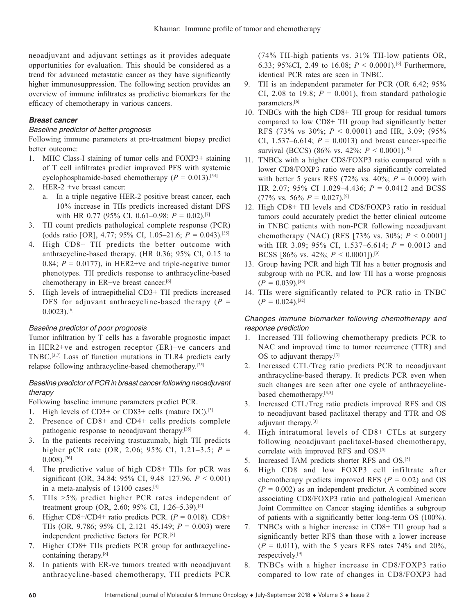neoadjuvant and adjuvant settings as it provides adequate opportunities for evaluation. This should be considered as a trend for advanced metastatic cancer as they have significantly higher immunosuppression. The following section provides an overview of immune infiltrates as predictive biomarkers for the efficacy of chemotherapy in various cancers.

# *Breast cancer*

### *Baseline predictor of better prognosis*

Following immune parameters at pre-treatment biopsy predict better outcome:

- 1. MHC Class-I staining of tumor cells and FOXP3+ staining of T cell infiltrates predict improved PFS with systemic cyclophosphamide-based chemotherapy  $(P = 0.013)$ .<sup>[34]</sup>
- 2. HER-2 +ve breast cancer:
	- a. In a triple negative HER-2 positive breast cancer, each 10% increase in TIIs predicts increased distant DFS with HR 0.77 (95% CI, 0.61–0.98;  $P = 0.02$ ).<sup>[7]</sup>
- 3. TII count predicts pathological complete response (PCR) (odds ratio [OR], 4.77; 95% CI, 1.05–21.6; *P* = 0.043).[35]
- 4. High CD8+ TII predicts the better outcome with anthracycline-based therapy. (HR 0.36; 95% CI, 0.15 to 0.84;  $P = 0.0177$ ), in HER2+ve and triple-negative tumor phenotypes. TII predicts response to anthracycline-based chemotherapy in ER−ve breast cancer.[6]
- 5. High levels of intraepithelial CD3+ TII predicts increased DFS for adjuvant anthracycline-based therapy  $(P =$  $0.0023$ ).<sup>[6]</sup>

# *Baseline predictor of poor prognosis*

Tumor infiltration by T cells has a favorable prognostic impact in HER2+ve and estrogen receptor (ER)−ve cancers and TNBC.[3,7] Loss of function mutations in TLR4 predicts early relapse following anthracycline-based chemotherapy.[25]

# *Baseline predictor of PCR in breast cancer following neoadjuvant therapy*

Following baseline immune parameters predict PCR.

- 1. High levels of CD3+ or CD83+ cells (mature DC).[3]
- 2. Presence of CD8+ and CD4+ cells predicts complete pathogenic response to neoadjuvant therapy.<sup>[35]</sup>
- 3. In the patients receiving trastuzumab, high TII predicts higher pCR rate (OR, 2.06; 95% CI, 1.21–3.5; *P* =  $0.008$ ).<sup>[36]</sup>
- 4. The predictive value of high CD8+ TIIs for pCR was significant (OR, 34.84; 95% CI, 9.48–127.96, *P* < 0.001) in a meta-analysis of 13100 cases.[4]
- 5. TIIs >5% predict higher PCR rates independent of treatment group (OR, 2.60; 95% CI, 1.26–5.39).[4]
- 6. Higher CD8+/CD4+ ratio predicts PCR.  $(P = 0.018)$ . CD8+ TIIs (OR, 9.786; 95% CI, 2.121–45.149; *P* = 0.003) were independent predictive factors for PCR.[8]
- 7. Higher CD8+ TIIs predicts PCR group for anthracyclinecontaining therapy.[8]
- 8. In patients with ER-ve tumors treated with neoadjuvant anthracycline-based chemotherapy, TII predicts PCR

(74% TII-high patients vs. 31% TII-low patients OR, 6.33; 95%CI, 2.49 to 16.08;  $P \le 0.0001$ .<sup>[6]</sup> Furthermore, identical PCR rates are seen in TNBC.

- 9. TII is an independent parameter for PCR (OR 6.42; 95% CI, 2.08 to 19.8;  $P = 0.001$ ), from standard pathologic parameters.<sup>[6]</sup>
- 10. TNBCs with the high CD8+ TII group for residual tumors compared to low CD8+ TII group had significantly better RFS (73% vs 30%; *P* < 0.0001) and HR, 3.09; (95% CI, 1.537–6.614;  $P = 0.0013$ ) and breast cancer-specific survival (BCCS) (86% vs. 42%; *P* < 0.0001).[9]
- 11. TNBCs with a higher CD8/FOXP3 ratio compared with a lower CD8/FOXP3 ratio were also significantly correlated with better 5 years RFS (72% vs. 40%;  $P = 0.009$ ) with HR 2.07; 95% CI 1.029–4.436; *P* = 0.0412 and BCSS  $(77\% \text{ vs. } 56\% \text{ } P = 0.027).^{[9]}$
- 12. High CD8+ TII levels and CD8/FOXP3 ratio in residual tumors could accurately predict the better clinical outcome in TNBC patients with non-PCR following neoadjuvant chemotherapy (NAC) (RFS [73% vs. 30%;  $P < 0.0001$ ] with HR 3.09; 95% CI, 1.537–6.614; *P* = 0.0013 and BCSS [86% vs. 42%; *P* < 0.0001]).[9]
- 13. Group having PCR and high TII has a better prognosis and subgroup with no PCR, and low TII has a worse prognosis  $(P = 0.039)$ <sup>[36]</sup>
- 14. TIIs were significantly related to PCR ratio in TNBC  $(P = 0.024)$ .<sup>[32]</sup>

# *Changes immune biomarker following chemotherapy and response prediction*

- 1. Increased TII following chemotherapy predicts PCR to NAC and improved time to tumor recurrence (TTR) and OS to adjuvant therapy.[3]
- 2. Increased CTL/Treg ratio predicts PCR to neoadjuvant anthracycline-based therapy. It predicts PCR even when such changes are seen after one cycle of anthracyclinebased chemotherapy.[3,5]
- 3. Increased CTL/Treg ratio predicts improved RFS and OS to neoadjuvant based paclitaxel therapy and TTR and OS adjuvant therapy.[3]
- 4. High intratumoral levels of CD8+ CTLs at surgery following neoadjuvant paclitaxel-based chemotherapy, correlate with improved RFS and OS.[5]
- 5. Increased TAM predicts shorter RFS and OS.[5]
- 6. High CD8 and low FOXP3 cell infiltrate after chemotherapy predicts improved RFS ( $P = 0.02$ ) and OS  $(P = 0.002)$  as an independent predictor. A combined score associating CD8/FOXP3 ratio and pathological American Joint Committee on Cancer staging identifies a subgroup of patients with a significantly better long-term OS (100%).
- 7. TNBCs with a higher increase in CD8+ TII group had a significantly better RFS than those with a lower increase  $(P = 0.011)$ , with the 5 years RFS rates 74% and 20%, respectively.[9]
- 8. TNBCs with a higher increase in CD8/FOXP3 ratio compared to low rate of changes in CD8/FOXP3 had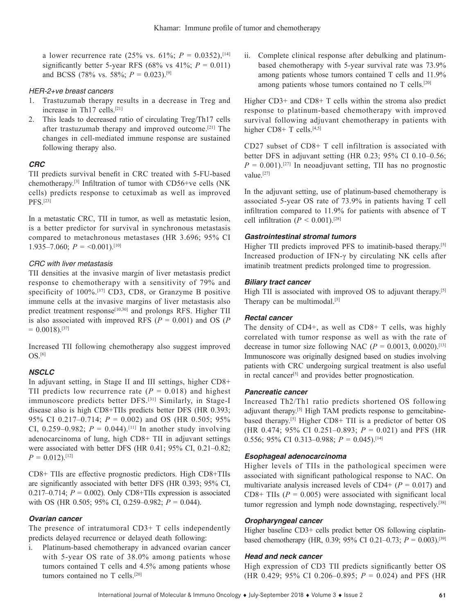a lower recurrence rate (25% vs. 61%;  $P = 0.0352$ ),<sup>[14]</sup> significantly better 5-year RFS (68% vs  $41\%$ ;  $P = 0.011$ ) and BCSS (78% vs. 58%;  $P = 0.023$ ).<sup>[9]</sup>

### *HER-2+ve breast cancers*

- 1. Trastuzumab therapy results in a decrease in Treg and increase in Th17 cells.[21]
- 2. This leads to decreased ratio of circulating Treg/Th17 cells after trastuzumab therapy and improved outcome.[21] The changes in cell-mediated immune response are sustained following therapy also.

# *CRC*

TII predicts survival benefit in CRC treated with 5-FU-based chemotherapy.[3] Infiltration of tumor with CD56+ve cells (NK cells) predicts response to cetuximab as well as improved PFS.[23]

In a metastatic CRC, TII in tumor, as well as metastatic lesion, is a better predictor for survival in synchronous metastasis compared to metachronous metastases (HR 3.696; 95% CI 1.935–7.060;  $P = 0.001$ .<sup>[10]</sup>

### *CRC with liver metastasis*

TII densities at the invasive margin of liver metastasis predict response to chemotherapy with a sensitivity of 79% and specificity of 100%.<sup>[37]</sup> CD3, CD8, or Granzyme B positive immune cells at the invasive margins of liver metastasis also predict treatment response<sup>[10,30]</sup> and prolongs RFS. Higher TII is also associated with improved RFS ( $P = 0.001$ ) and OS ( $P$  $= 0.0018$ .<sup>[37]</sup>

Increased TII following chemotherapy also suggest improved OS.[6]

# *NSCLC*

In adjuvant setting, in Stage II and III settings, higher CD8+ TII predicts low recurrence rate  $(P = 0.018)$  and highest immunoscore predicts better DFS.[31] Similarly, in Stage-I disease also is high CD8+TIIs predicts better DFS (HR 0.393; 95% CI 0.217–0.714; *P* = 0.002) and OS (HR 0.505; 95% CI, 0.259–0.982;  $P = 0.044$ .<sup>[11]</sup> In another study involving adenocarcinoma of lung, high CD8+ TII in adjuvant settings were associated with better DFS (HR 0.41; 95% CI, 0.21–0.82;  $P = 0.012$ .[12]

CD8+ TIIs are effective prognostic predictors. High CD8+TIIs are significantly associated with better DFS (HR 0.393; 95% CI, 0.217–0.714;  $P = 0.002$ ). Only CD8+TIIs expression is associated with OS (HR 0.505; 95% CI, 0.259–0.982; *P* = 0.044).

# *Ovarian cancer*

The presence of intratumoral CD3+ T cells independently predicts delayed recurrence or delayed death following:

i. Platinum-based chemotherapy in advanced ovarian cancer with 5-year OS rate of 38.0% among patients whose tumors contained T cells and 4.5% among patients whose tumors contained no T cells.<sup>[20]</sup>

ii. Complete clinical response after debulking and platinumbased chemotherapy with 5-year survival rate was 73.9% among patients whose tumors contained T cells and 11.9% among patients whose tumors contained no T cells.[20]

Higher CD3+ and CD8+ T cells within the stroma also predict response to platinum-based chemotherapy with improved survival following adjuvant chemotherapy in patients with higher  $CD8+T$  cells.<sup>[4,5]</sup>

CD27 subset of CD8+ T cell infiltration is associated with better DFS in adjuvant setting (HR 0.23; 95% CI 0.10–0.56;  $P = 0.001$ .<sup>[27]</sup> In neoadjuvant setting, TII has no prognostic value.<sup>[27]</sup>

In the adjuvant setting, use of platinum-based chemotherapy is associated 5-year OS rate of 73.9% in patients having T cell infiltration compared to 11.9% for patients with absence of T cell infiltration ( $P < 0.001$ ).<sup>[28]</sup>

### *Gastrointestinal stromal tumors*

Higher TII predicts improved PFS to imatinib-based therapy.<sup>[5]</sup> Increased production of IFN- $\gamma$  by circulating NK cells after imatinib treatment predicts prolonged time to progression.

### *Biliary tract cancer*

High TII is associated with improved OS to adjuvant therapy.<sup>[5]</sup> Therapy can be multimodal.<sup>[5]</sup>

# *Rectal cancer*

The density of CD4+, as well as CD8+ T cells, was highly correlated with tumor response as well as with the rate of decrease in tumor size following NAC ( $P = 0.0013$ , 0.0020).<sup>[13]</sup> Immunoscore was originally designed based on studies involving patients with CRC undergoing surgical treatment is also useful in rectal cancer<sup>[5]</sup> and provides better prognostication.

#### *Pancreatic cancer*

Increased Th2/Th1 ratio predicts shortened OS following adjuvant therapy.[5] High TAM predicts response to gemcitabinebased therapy.[5] Higher CD8+ TII is a predictor of better OS (HR 0.474; 95% CI 0.251–0.893;  $P = 0.021$ ) and PFS (HR 0.556; 95% CI 0.313–0.988; *P* = 0.045).[14]

# *Esophageal adenocarcinoma*

Higher levels of TIIs in the pathological specimen were associated with significant pathological response to NAC. On multivariate analysis increased levels of  $CD4+ (P = 0.017)$  and CD8+ TIIs  $(P = 0.005)$  were associated with significant local tumor regression and lymph node downstaging, respectively.<sup>[38]</sup>

# *Oropharyngeal cancer*

Higher baseline CD3+ cells predict better OS following cisplatinbased chemotherapy (HR, 0.39; 95% CI 0.21–0.73;  $P = 0.003$ ).<sup>[39]</sup>

#### *Head and neck cancer*

High expression of CD3 TII predicts significantly better OS (HR 0.429; 95% CI 0.206–0.895; *P* = 0.024) and PFS (HR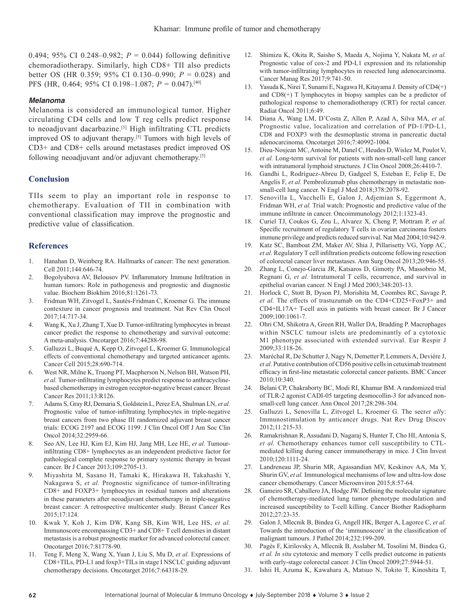0.494; 95% CI 0.248–0.982; *P* = 0.044) following definitive chemoradiotherapy. Similarly, high CD8+ TII also predicts better OS (HR 0.359; 95% CI 0.130–0.990; *P* = 0.028) and PFS (HR, 0.464; 95% CI 0.198–1.087; *P* = 0.047).[40]

### *Melanoma*

Melanoma is considered an immunological tumor. Higher circulating CD4 cells and low T reg cells predict response to neoadjuvant dacarbazine.<sup>[5]</sup> High infiltrating CTL predicts improved OS to adjuvant therapy.<sup>[5]</sup> Tumors with high levels of CD3+ and CD8+ cells around metastases predict improved OS following neoadjuvant and/or adjuvant chemotherapy.[5]

# **Conclusion**

TIIs seem to play an important role in response to chemotherapy. Evaluation of TII in combination with conventional classification may improve the prognostic and predictive value of classification.

# **References**

- 1. Hanahan D, Weinberg RA. Hallmarks of cancer: The next generation. Cell 2011;144:646-74.
- 2. Bogolyubova AV, Belousov PV. Inflammatory Immune Infiltration in human tumors: Role in pathogenesis and prognostic and diagnostic value. Biochem Biokhim 2016;81:1261-73.
- 3. Fridman WH, Zitvogel L, Sautès-Fridman C, Kroemer G. The immune contexture in cancer prognosis and treatment. Nat Rev Clin Oncol 2017;14:717-34.
- 4. Wang K, Xu J, Zhang T, Xue D. Tumor-infiltrating lymphocytes in breast cancer predict the response to chemotherapy and survival outcome: A meta-analysis. Oncotarget 2016;7:44288-98.
- 5. Galluzzi L, Buqué A, Kepp O, Zitvogel L, Kroemer G. Immunological effects of conventional chemotherapy and targeted anticancer agents. Cancer Cell 2015;28:690-714.
- 6. West NR, Milne K, Truong PT, Macpherson N, Nelson BH, Watson PH, *et al.* Tumor-infiltrating lymphocytes predict response to anthracyclinebased chemotherapy in estrogen receptor-negative breast cancer. Breast Cancer Res 2011;13:R126.
- 7. Adams S, Gray RJ, Demaria S, Goldstein L, Perez EA, Shulman LN, *et al.* Prognostic value of tumor-infiltrating lymphocytes in triple-negative breast cancers from two phase III randomized adjuvant breast cancer trials: ECOG 2197 and ECOG 1199. J Clin Oncol Off J Am Soc Clin Oncol 2014;32:2959-66.
- 8. Seo AN, Lee HJ, Kim EJ, Kim HJ, Jang MH, Lee HE, *et al.* Tumourinfiltrating CD8+ lymphocytes as an independent predictive factor for pathological complete response to primary systemic therapy in breast cancer. Br J Cancer 2013;109:2705-13.
- 9. Miyashita M, Sasano H, Tamaki K, Hirakawa H, Takahashi Y, Nakagawa S, *et al.* Prognostic significance of tumor-infiltrating CD8+ and FOXP3+ lymphocytes in residual tumors and alterations in these parameters after neoadjuvant chemotherapy in triple-negative breast cancer: A retrospective multicenter study. Breast Cancer Res 2015;17:124.
- 10. Kwak Y, Koh J, Kim DW, Kang SB, Kim WH, Lee HS, *et al.* Immunoscore encompassing CD3+ and CD8+ T cell densities in distant metastasis is a robust prognostic marker for advanced colorectal cancer. Oncotarget 2016;7:81778-90.
- 11. Teng F, Meng X, Wang X, Yuan J, Liu S, Mu D, *et al.* Expressions of CD8+TILs, PD-L1 and foxp3+TILs in stage I NSCLC guiding adjuvant chemotherapy decisions. Oncotarget 2016;7:64318-29.
- 12. Shimizu K, Okita R, Saisho S, Maeda A, Nojima Y, Nakata M, *et al.* Prognostic value of cox-2 and PD-L1 expression and its relationship with tumor-infiltrating lymphocytes in resected lung adenocarcinoma. Cancer Manag Res 2017;9:741-50.
- 13. Yasuda K, Nirei T, Sunami E, Nagawa H, Kitayama J. Density of CD4(+) and CD8(+) T lymphocytes in biopsy samples can be a predictor of pathological response to chemoradiotherapy (CRT) for rectal cancer. Radiat Oncol 2011;6:49.
- 14. Diana A, Wang LM, D'Costa Z, Allen P, Azad A, Silva MA, *et al.* Prognostic value, localization and correlation of PD-1/PD-L1, CD8 and FOXP3 with the desmoplastic stroma in pancreatic ductal adenocarcinoma. Oncotarget 2016;7:40992-1004.
- 15. Dieu-Nosjean MC, Antoine M, Danel C, Heudes D, Wislez M, Poulot V, *et al.* Long-term survival for patients with non-small-cell lung cancer with intratumoral lymphoid structures. J Clin Oncol 2008;26:4410-7.
- 16. Gandhi L, Rodríguez-Abreu D, Gadgeel S, Esteban E, Felip E, De Angelis F, *et al.* Pembrolizumab plus chemotherapy in metastatic nonsmall-cell lung cancer. N Engl J Med 2018;378:2078-92.
- 17. Senovilla L, Vacchelli E, Galon J, Adjemian S, Eggermont A, Fridman WH, *et al.* Trial watch: Prognostic and predictive value of the immune infiltrate in cancer. Oncoimmunology 2012;1:1323-43.
- 18. Curiel TJ, Coukos G, Zou L, Alvarez X, Cheng P, Mottram P, *et al.* Specific recruitment of regulatory T cells in ovarian carcinoma fosters immune privilege and predicts reduced survival. Nat Med 2004;10:942-9.
- 19. Katz SC, Bamboat ZM, Maker AV, Shia J, Pillarisetty VG, Yopp AC, *et al.* Regulatory T cell infiltration predicts outcome following resection of colorectal cancer liver metastases. Ann Surg Oncol 2013;20:946-55.
- 20. Zhang L, Conejo-Garcia JR, Katsaros D, Gimotty PA, Massobrio M, Regnani G, *et al.* Intratumoral T cells, recurrence, and survival in epithelial ovarian cancer. N Engl J Med 2003;348:203-13.
- 21. Horlock C, Stott B, Dyson PJ, Morishita M, Coombes RC, Savage P, *et al.* The effects of trastuzumab on the CD4+CD25+FoxP3+ and CD4+IL17A+ T-cell axis in patients with breast cancer. Br J Cancer 2009;100:1061-7.
- 22. Ohri CM, Shikotra A, Green RH, Waller DA, Bradding P. Macrophages within NSCLC tumour islets are predominantly of a cytotoxic M1 phenotype associated with extended survival. Eur Respir J 2009;33:118‑26.
- 23. Maréchal R, De Schutter J, Nagy N, Demetter P, Lemmers A, Devière J, *et al.* Putative contribution of CD56 positive cells in cetuximab treatment efficacy in first-line metastatic colorectal cancer patients. BMC Cancer 2010;10:340.
- 24. Belani CP, Chakraborty BC, Modi RI, Khamar BM. A randomized trial of TLR-2 agonist CADI-05 targeting desmocollin-3 for advanced nonsmall-cell lung cancer. Ann Oncol 2017;28:298-304.
- 25. Galluzzi L, Senovilla L, Zitvogel L, Kroemer G. The secr*et all*y: Immunostimulation by anticancer drugs. Nat Rev Drug Discov 2012;11:215-33.
- 26. Ramakrishnan R, Assudani D, Nagaraj S, Hunter T, Cho HI, Antonia S, *et al.* Chemotherapy enhances tumor cell susceptibility to CTLmediated killing during cancer immunotherapy in mice. J Clin Invest 2010;120:1111-24.
- 27. Landreneau JP, Shurin MR, Agassandian MV, Keskinov AA, Ma Y, Shurin GV, *et al.* Immunological mechanisms of low and ultra-low dose cancer chemotherapy. Cancer Microenviron 2015;8:57-64.
- 28. Gameiro SR, Caballero JA, Hodge JW. Defining the molecular signature of chemotherapy-mediated lung tumor phenotype modulation and increased susceptibility to T-cell killing. Cancer Biother Radiopharm 2012;27:23-35.
- 29. Galon J, Mlecnik B, Bindea G, Angell HK, Berger A, Lagorce C, *et al.* Towards the introduction of the 'immunoscore' in the classification of malignant tumours. J Pathol 2014;232:199-209.
- 30. Pagès F, Kirilovsky A, Mlecnik B, Asslaber M, Tosolini M, Bindea G, *et al. In situ* cytotoxic and memory T cells predict outcome in patients with early-stage colorectal cancer. J Clin Oncol 2009;27:5944-51.
- 31. Ishii H, Azuma K, Kawahara A, Matsuo N, Tokito T, Kinoshita T,